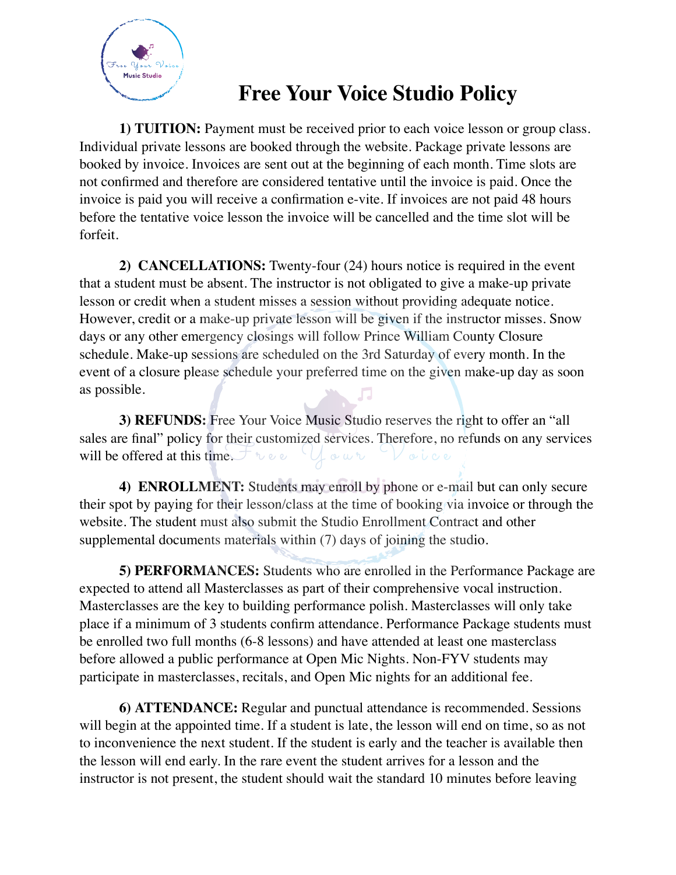

## **Free Your Voice Studio Policy**

**1) TUITION:** Payment must be received prior to each voice lesson or group class. Individual private lessons are booked through the website. Package private lessons are booked by invoice. Invoices are sent out at the beginning of each month. Time slots are not confirmed and therefore are considered tentative until the invoice is paid. Once the invoice is paid you will receive a confirmation e-vite. If invoices are not paid 48 hours before the tentative voice lesson the invoice will be cancelled and the time slot will be forfeit.

**2) CANCELLATIONS:** Twenty-four (24) hours notice is required in the event that a student must be absent. The instructor is not obligated to give a make-up private lesson or credit when a student misses a session without providing adequate notice. However, credit or a make-up private lesson will be given if the instructor misses. Snow days or any other emergency closings will follow Prince William County Closure schedule. Make-up sessions are scheduled on the 3rd Saturday of every month. In the event of a closure please schedule your preferred time on the given make-up day as soon as possible.

**3) REFUNDS:** Free Your Voice Music Studio reserves the right to offer an "all sales are final" policy for their customized services. Therefore, no refunds on any services will be offered at this time.  $\rightarrow \infty$ Lour Voice

**4) ENROLLMENT:** Students may enroll by phone or e-mail but can only secure their spot by paying for their lesson/class at the time of booking via invoice or through the website. The student must also submit the Studio Enrollment Contract and other supplemental documents materials within (7) days of joining the studio.

**5) PERFORMANCES:** Students who are enrolled in the Performance Package are expected to attend all Masterclasses as part of their comprehensive vocal instruction. Masterclasses are the key to building performance polish. Masterclasses will only take place if a minimum of 3 students confirm attendance. Performance Package students must be enrolled two full months (6-8 lessons) and have attended at least one masterclass before allowed a public performance at Open Mic Nights. Non-FYV students may participate in masterclasses, recitals, and Open Mic nights for an additional fee.

**6) ATTENDANCE:** Regular and punctual attendance is recommended. Sessions will begin at the appointed time. If a student is late, the lesson will end on time, so as not to inconvenience the next student. If the student is early and the teacher is available then the lesson will end early. In the rare event the student arrives for a lesson and the instructor is not present, the student should wait the standard 10 minutes before leaving